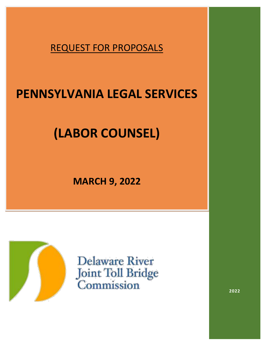REQUEST FOR PROPOSALS

## **PENNSYLVANIA LEGAL SERVICES**

# **(LABOR COUNSEL)**

**MARCH 9, 2022**



**Delaware River** Joint Toll Bridge Commission

**2022**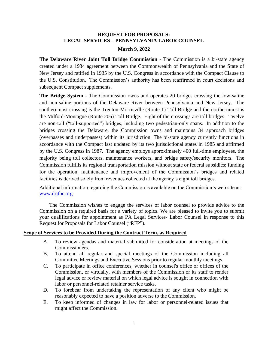#### **REQUEST FOR PROPOSALS: LEGAL SERVICES – PENNSYLVANIA LABOR COUNSEL**

#### **March 9, 2022**

**The Delaware River Joint Toll Bridge Commission** - The Commission is a bi-state agency created under a 1934 agreement between the Commonwealth of Pennsylvania and the State of New Jersey and ratified in 1935 by the U.S. Congress in accordance with the Compact Clause to the U.S. Constitution. The Commission's authority has been reaffirmed in court decisions and subsequent Compact supplements.

**The Bridge System -** The Commission owns and operates 20 bridges crossing the low-saline and non-saline portions of the Delaware River between Pennsylvania and New Jersey. The southernmost crossing is the Trenton-Morrisville (Route 1) Toll Bridge and the northernmost is the Milford-Montague (Route 206) Toll Bridge. Eight of the crossings are toll bridges. Twelve are non-toll ("toll-supported") bridges, including two pedestrian-only spans. In addition to the bridges crossing the Delaware, the Commission owns and maintains 34 approach bridges (overpasses and underpasses) within its jurisdiction. The bi-state agency currently functions in accordance with the Compact last updated by its two jurisdictional states in 1985 and affirmed by the U.S. Congress in 1987. The agency employs approximately 400 full-time employees, the majority being toll collectors, maintenance workers, and bridge safety/security monitors. The Commission fulfills its regional transportation mission without state or federal subsidies; funding for the operation, maintenance and improvement of the Commission's bridges and related facilities is derived solely from revenues collected at the agency's eight toll bridges.

Additional information regarding the Commission is available on the Commission's web site at: [www.drjtbc.org](http://www.drjtbc.org/)

The Commission wishes to engage the services of labor counsel to provide advice to the Commission on a required basis for a variety of topics. We are pleased to invite you to submit your qualifications for appointment as PA Legal Services- Labor Counsel in response to this Request for Proposals for Labor Counsel ("RFP").

#### **Scope of Services to be Provided During the Contract Term, as Required**

- A. To review agendas and material submitted for consideration at meetings of the Commissioners.
- B. To attend all regular and special meetings of the Commission including all Committee Meetings and Executive Sessions prior to regular monthly meetings.
- C. To participate in office conferences, whether in counsel's office or offices of the Commission, or virtually, with members of the Commission or its staff to render legal advice or review material on which legal advice is sought in connection with labor or personnel-related retainer service tasks.
- D. To forebear from undertaking the representation of any client who might be reasonably expected to have a position adverse to the Commission.
- E. To keep informed of changes in law for labor or personnel-related issues that might affect the Commission.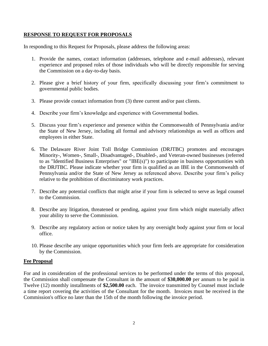#### **RESPONSE TO REQUEST FOR PROPOSALS**

In responding to this Request for Proposals, please address the following areas:

- 1. Provide the names, contact information (addresses, telephone and e-mail addresses), relevant experience and proposed roles of those individuals who will be directly responsible for serving the Commission on a day-to-day basis.
- 2. Please give a brief history of your firm, specifically discussing your firm's commitment to governmental public bodies.
- 3. Please provide contact information from (3) three current and/or past clients.
- 4. Describe your firm's knowledge and experience with Governmental bodies.
- 5. Discuss your firm's experience and presence within the Commonwealth of Pennsylvania and/or the State of New Jersey, including all formal and advisory relationships as well as offices and employees in either State.
- 6. The Delaware River Joint Toll Bridge Commission (DRJTBC) promotes and encourages Minority-, Women-, Small-, Disadvantaged-, Disabled-, and Veteran-owned businesses (referred to as "Identified Business Enterprises" or "IBE(s)") to participate in business opportunities with the DRJTBC. Please indicate whether your firm is qualified as an IBE in the Commonwealth of Pennsylvania and/or the State of New Jersey as referenced above. Describe your firm's policy relative to the prohibition of discriminatory work practices.
- 7. Describe any potential conflicts that might arise if your firm is selected to serve as legal counsel to the Commission.
- 8. Describe any litigation, threatened or pending, against your firm which might materially affect your ability to serve the Commission.
- 9. Describe any regulatory action or notice taken by any oversight body against your firm or local office.
- 10. Please describe any unique opportunities which your firm feels are appropriate for consideration by the Commission.

#### **Fee Proposal**

For and in consideration of the professional services to be performed under the terms of this proposal, the Commission shall compensate the Consultant in the amount of **\$30,000.00** per annum to be paid in Twelve (12) monthly installments of **\$2,500.00** each. The invoice transmitted by Counsel must include a time report covering the activities of the Consultant for the month. Invoices must be received in the Commission's office no later than the 15th of the month following the invoice period.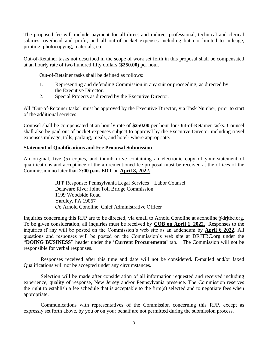The proposed fee will include payment for all direct and indirect professional, technical and clerical salaries, overhead and profit, and all out-of-pocket expenses including but not limited to mileage, printing, photocopying, materials, etc.

Out-of-Retainer tasks not described in the scope of work set forth in this proposal shall be compensated at an hourly rate of two hundred fifty dollars (**\$250.00**) per hour.

Out-of-Retainer tasks shall be defined as follows:

- 1. Representing and defending Commission in any suit or proceeding, as directed by the Executive Director.
- 2. Special Projects as directed by the Executive Director.

All "Out-of-Retainer tasks" must be approved by the Executive Director, via Task Number, prior to start of the additional services.

Counsel shall be compensated at an hourly rate of **\$250.00** per hour for Out-of-Retainer tasks. Counsel shall also be paid out of pocket expenses subject to approval by the Executive Director including travel expenses mileage, tolls, parking, meals, and hotel- where appropriate.

#### **Statement of Qualifications and Fee Proposal Submission**

An original, five (5) copies, and thumb drive containing an electronic copy of your statement of qualifications and acceptance of the aforementioned fee proposal must be received at the offices of the Commission no later than **2:00 p.m. EDT** on **April 8, 2022.**

> RFP Response: Pennsylvania Legal Services – Labor Counsel Delaware River Joint Toll Bridge Commission 1199 Woodside Road Yardley, PA 19067 c/o Arnold Conoline, Chief Administrative Officer

Inquiries concerning this RFP are to be directed, via email to Arnold Conoline at aconoline@drjtbc.org. To be given consideration, all inquiries must be received by **COB on April 1, 2022.** Responses to the inquiries if any will be posted on the Commission's web site as an addendum by **April 6 2022**. All questions and responses will be posted on the Commission's web site at DRJTBC.org under the "**DOING BUSINESS"** header under the '**Current Procurements'** tab. The Commission will not be responsible for verbal responses.

Responses received after this time and date will not be considered. E-mailed and/or faxed Qualifications will not be accepted under any circumstances.

Selection will be made after consideration of all information requested and received including experience, quality of response, New Jersey and/or Pennsylvania presence. The Commission reserves the right to establish a fee schedule that is acceptable to the firm(s) selected and to negotiate fees when appropriate.

Communications with representatives of the Commission concerning this RFP, except as expressly set forth above, by you or on your behalf are not permitted during the submission process.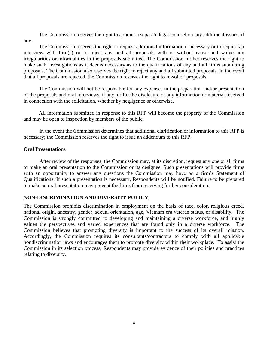The Commission reserves the right to appoint a separate legal counsel on any additional issues, if any.

The Commission reserves the right to request additional information if necessary or to request an interview with firm(s) or to reject any and all proposals with or without cause and waive any irregularities or informalities in the proposals submitted. The Commission further reserves the right to make such investigations as it deems necessary as to the qualifications of any and all firms submitting proposals. The Commission also reserves the right to reject any and all submitted proposals. In the event that all proposals are rejected, the Commission reserves the right to re-solicit proposals.

The Commission will not be responsible for any expenses in the preparation and/or presentation of the proposals and oral interviews, if any, or for the disclosure of any information or material received in connection with the solicitation, whether by negligence or otherwise.

All information submitted in response to this RFP will become the property of the Commission and may be open to inspection by members of the public.

In the event the Commission determines that additional clarification or information to this RFP is necessary; the Commission reserves the right to issue an addendum to this RFP.

#### **Oral Presentations**

After review of the responses, the Commission may, at its discretion, request any one or all firms to make an oral presentation to the Commission or its designee. Such presentations will provide firms with an opportunity to answer any questions the Commission may have on a firm's Statement of Qualifications. If such a presentation is necessary, Respondents will be notified. Failure to be prepared to make an oral presentation may prevent the firms from receiving further consideration.

#### **NON-DISCRIMINATION AND DIVERSITY POLICY**

The Commission prohibits discrimination in employment on the basis of race, color, religious creed, national origin, ancestry, gender, sexual orientation, age, Vietnam era veteran status, or disability. The Commission is strongly committed to developing and maintaining a diverse workforce, and highly values the perspectives and varied experiences that are found only in a diverse workforce. The Commission believes that promoting diversity is important to the success of its overall mission. Accordingly, the Commission requires its consultants/contractors to comply with all applicable nondiscrimination laws and encourages them to promote diversity within their workplace. To assist the Commission in its selection process, Respondents may provide evidence of their policies and practices relating to diversity.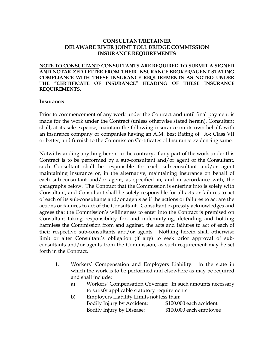## **CONSULTANT/RETAINER DELAWARE RIVER JOINT TOLL BRIDGE COMMISSION INSURANCE REQUIREMENTS**

**NOTE TO CONSULTANT: CONSULTANTS ARE REQUIRED TO SUBMIT A SIGNED AND NOTARIZED LETTER FROM THEIR INSURANCE BROKER/AGENT STATING COMPLIANCE WITH THESE INSURANCE REQUIREMENTS AS NOTED UNDER THE "CERTIFICATE OF INSURANCE" HEADING OF THESE INSURANCE REQUIREMENTS.**

#### **Insurance:**

Prior to commencement of any work under the Contract and until final payment is made for the work under the Contract (unless otherwise stated herein), Consultant shall, at its sole expense, maintain the following insurance on its own behalf, with an insurance company or companies having an A.M. Best Rating of "A-: Class VII or better, and furnish to the Commission Certificates of Insurance evidencing same.

Notwithstanding anything herein to the contrary, if any part of the work under this Contract is to be performed by a sub-consultant and/or agent of the Consultant, such Consultant shall be responsible for each sub-consultant and/or agent maintaining insurance or, in the alternative, maintaining insurance on behalf of each sub-consultant and/or agent, as specified in, and in accordance with, the paragraphs below. The Contract that the Commission is entering into is solely with Consultant, and Consultant shall be solely responsible for all acts or failures to act of each of its sub-consultants and/or agents as if the actions or failures to act are the actions or failures to act of the Consultant. Consultant expressly acknowledges and agrees that the Commission's willingness to enter into the Contract is premised on Consultant taking responsibility for, and indemnifying, defending and holding harmless the Commission from and against, the acts and failures to act of each of their respective sub-consultants and/or agents. Nothing herein shall otherwise limit or alter Consultant's obligation (if any) to seek prior approval of subconsultants and/or agents from the Commission, as such requirement may be set forth in the Contract.

- 1. Workers' Compensation and Employers Liability: in the state in which the work is to be performed and elsewhere as may be required and shall include:
	- a) Workers' Compensation Coverage: In such amounts necessary to satisfy applicable statutory requirements

| b) | Employers Liability Limits not less than: |                         |
|----|-------------------------------------------|-------------------------|
|    | Bodily Injury by Accident:                | \$100,000 each accident |
|    | Bodily Injury by Disease:                 | \$100,000 each employee |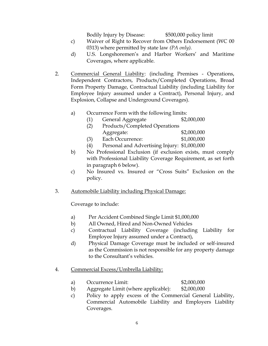Bodily Injury by Disease: \$500,000 policy limit

- c) Waiver of Right to Recover from Others Endorsement (WC 00 0313) where permitted by state law *(PA only).*
- d) U.S. Longshoremen's and Harbor Workers' and Maritime Coverages, where applicable.
- 2. Commercial General Liability: (including Premises Operations, Independent Contractors, Products/Completed Operations, Broad Form Property Damage, Contractual Liability (including Liability for Employee Injury assumed under a Contract), Personal Injury, and Explosion, Collapse and Underground Coverages).

## a) Occurrence Form with the following limits:

- (1) General Aggregate \$2,000,000
	- (2) Products/Completed Operations Aggregate: \$2,000,000
	- (3) Each Occurrence: \$1,000,000
	- (4) Personal and Advertising Injury: \$1,000,000
- b) No Professional Exclusion (if exclusion exists, must comply with Professional Liability Coverage Requirement, as set forth in paragraph 6 below).
- c) No Insured vs. Insured or "Cross Suits" Exclusion on the policy.
- 3. Automobile Liability including Physical Damage:

Coverage to include:

- a) Per Accident Combined Single Limit \$1,000,000
- b) All Owned, Hired and Non-Owned Vehicles
- c) Contractual Liability Coverage (including Liability for Employee Injury assumed under a Contract),
- d) Physical Damage Coverage must be included or self-insured as the Commission is not responsible for any property damage to the Consultant's vehicles.
- 4. Commercial Excess/Umbrella Liability:
	- a) Occurrence Limit: \$2,000,000
	- b) Aggregate Limit (where applicable): \$2,000,000
	- c) Policy to apply excess of the Commercial General Liability, Commercial Automobile Liability and Employers Liability Coverages.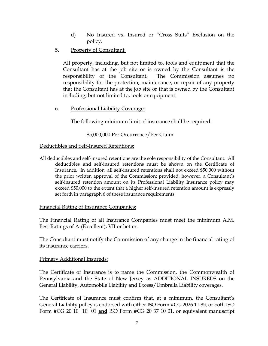- d) No Insured vs. Insured or "Cross Suits" Exclusion on the policy.
- 5. Property of Consultant:

All property, including, but not limited to, tools and equipment that the Consultant has at the job site or is owned by the Consultant is the responsibility of the Consultant. The Commission assumes no responsibility for the protection, maintenance, or repair of any property that the Consultant has at the job site or that is owned by the Consultant including, but not limited to, tools or equipment.

6. Professional Liability Coverage:

The following minimum limit of insurance shall be required:

## \$5,000,000 Per Occurrence/Per Claim

#### Deductibles and Self-Insured Retentions:

All deductibles and self-insured retentions are the sole responsibility of the Consultant. All deductibles and self-insured retentions must be shown on the Certificate of Insurance. In addition, all self-insured retentions shall not exceed \$50,000 without the prior written approval of the Commission; provided, however, a Consultant's self-insured retention amount on its Professional Liability Insurance policy may exceed \$50,000 to the extent that a higher self-insured retention amount is expressly set forth in paragraph 6 of these insurance requirements.

#### Financial Rating of Insurance Companies:

The Financial Rating of all Insurance Companies must meet the minimum A.M. Best Ratings of A-(Excellent); VII or better.

The Consultant must notify the Commission of any change in the financial rating of its insurance carriers.

#### Primary Additional Insureds:

The Certificate of Insurance is to name the Commission, the Commonwealth of Pennsylvania and the State of New Jersey as ADDITIONAL INSUREDS on the General Liability, Automobile Liability and Excess/Umbrella Liability coverages.

The Certificate of Insurance must confirm that, at a minimum, the Consultant's General Liability policy is endorsed with either ISO Form #CG 2026 11 85, or both ISO Form #CG 20 10 10 01 **and** ISO Form #CG 20 37 10 01, or equivalent manuscript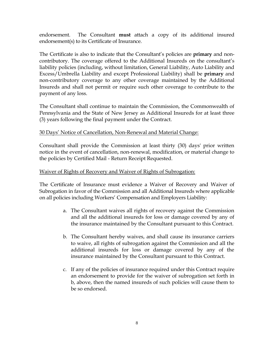endorsement. The Consultant **must** attach a copy of its additional insured endorsement(s) to its Certificate of Insurance.

The Certificate is also to indicate that the Consultant's policies are **primary** and noncontributory. The coverage offered to the Additional Insureds on the consultant's liability policies (including, without limitation, General Liability, Auto Liability and Excess/Umbrella Liability and except Professional Liability) shall be **primary** and non-contributory coverage to any other coverage maintained by the Additional Insureds and shall not permit or require such other coverage to contribute to the payment of any loss.

The Consultant shall continue to maintain the Commission, the Commonwealth of Pennsylvania and the State of New Jersey as Additional Insureds for at least three (3) years following the final payment under the Contract.

## 30 Days' Notice of Cancellation, Non-Renewal and Material Change:

Consultant shall provide the Commission at least thirty (30) days' prior written notice in the event of cancellation, non-renewal, modification, or material change to the policies by Certified Mail - Return Receipt Requested.

## Waiver of Rights of Recovery and Waiver of Rights of Subrogation:

The Certificate of Insurance must evidence a Waiver of Recovery and Waiver of Subrogation in favor of the Commission and all Additional Insureds where applicable on all policies including Workers' Compensation and Employers Liability:

- a. The Consultant waives all rights of recovery against the Commission and all the additional insureds for loss or damage covered by any of the insurance maintained by the Consultant pursuant to this Contract.
- b. The Consultant hereby waives, and shall cause its insurance carriers to waive, all rights of subrogation against the Commission and all the additional insureds for loss or damage covered by any of the insurance maintained by the Consultant pursuant to this Contract.
- c. If any of the policies of insurance required under this Contract require an endorsement to provide for the waiver of subrogation set forth in b, above, then the named insureds of such policies will cause them to be so endorsed.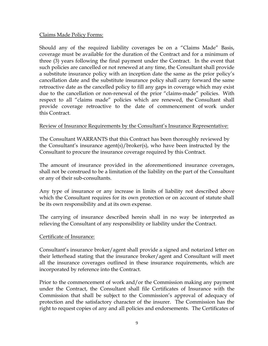## Claims Made Policy Forms:

Should any of the required liability coverages be on a "Claims Made" Basis, coverage must be available for the duration of the Contract and for a minimum of three (3) years following the final payment under the Contract. In the event that such policies are cancelled or not renewed at any time, the Consultant shall provide a substitute insurance policy with an inception date the same as the prior policy's cancellation date and the substitute insurance policy shall carry forward the same retroactive date as the cancelled policy to fill any gaps in coverage which may exist due to the cancellation or non-renewal of the prior "claims-made" policies. With respect to all "claims made" policies which are renewed, the Consultant shall provide coverage retroactive to the date of commencement of work under this Contract.

## Review of Insurance Requirements by the Consultant's Insurance Representative:

The Consultant WARRANTS that this Contract has been thoroughly reviewed by the Consultant's insurance agent(s)/broker(s), who have been instructed by the Consultant to procure the insurance coverage required by this Contract.

The amount of insurance provided in the aforementioned insurance coverages, shall not be construed to be a limitation of the liability on the part of the Consultant or any of their sub-consultants.

Any type of insurance or any increase in limits of liability not described above which the Consultant requires for its own protection or on account of statute shall be its own responsibility and at its own expense.

The carrying of insurance described herein shall in no way be interpreted as relieving the Consultant of any responsibility or liability under the Contract.

## Certificate of Insurance:

Consultant's insurance broker/agent shall provide a signed and notarized letter on their letterhead stating that the insurance broker/agent and Consultant will meet all the insurance coverages outlined in these insurance requirements, which are incorporated by reference into the Contract.

Prior to the commencement of work and/or the Commission making any payment under the Contract, the Consultant shall file Certificates of Insurance with the Commission that shall be subject to the Commission's approval of adequacy of protection and the satisfactory character of the insurer. The Commission has the right to request copies of any and all policies and endorsements. The Certificates of